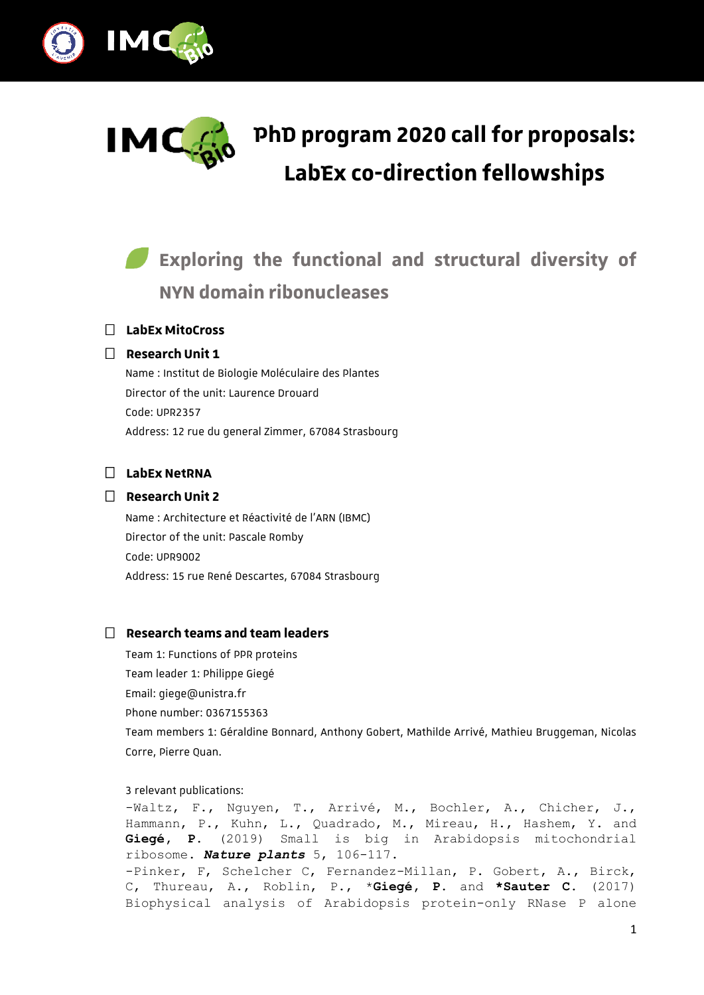



# **PhD program 2020 call for proposals: LabEx co-direction fellowships**

# *Exploring the functional and structural diversity of* **NYN domain ribonucleases**

## **LabEx MitoCross**

#### **Research Unit 1**

Name : Institut de Biologie Moléculaire des Plantes Director of the unit: Laurence Drouard Code: UPR2357 Address: 12 rue du general Zimmer, 67084 Strasbourg

## **LabEx NetRNA**

#### **Research Unit 2**

Name : Architecture et Réactivité de l'ARN (IBMC) Director of the unit: Pascale Romby Code: UPR9002 Address: 15 rue René Descartes, 67084 Strasbourg

#### **Research teams and team leaders**

Team 1: Functions of PPR proteins Team leader 1: Philippe Giegé Email: giege@unistra.fr Phone number: 0367155363 Team members 1: Géraldine Bonnard, Anthony Gobert, Mathilde Arrivé, Mathieu Bruggeman, Nicolas Corre, Pierre Quan.

3 relevant publications:

-Waltz, F., Nguyen, T., Arrivé, M., Bochler, A., Chicher, J., Hammann, P., Kuhn, L., Quadrado, M., Mireau, H., Hashem, Y. and **Giegé, P.** (2019) Small is big in Arabidopsis mitochondrial ribosome. *Nature plants* 5, 106-117. -Pinker, F, Schelcher C, Fernandez-Millan, P. Gobert, A., Birck, C, Thureau, A., Roblin, P., \***Giegé, P**. and **\*Sauter C**. (2017) Biophysical analysis of Arabidopsis protein-only RNase P alone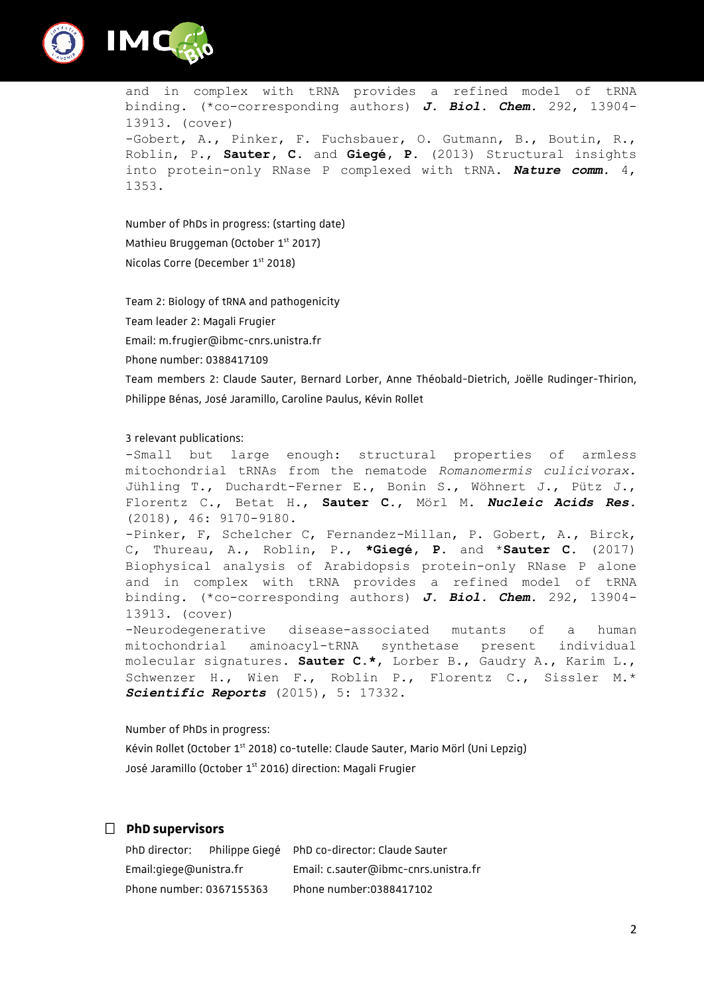



and in complex with tRNA provides a refined model of tRNA binding. (\*co-corresponding authors) *J. Biol. Chem.* 292, 13904- 13913. (cover) -Gobert, A., Pinker, F. Fuchsbauer, O. Gutmann, B., Boutin, R., Roblin, P., **Sauter, C**. and **Giegé, P.** (2013) Structural insights into protein-only RNase P complexed with tRNA. *Nature comm.* 4, 1353.

Number of PhDs in progress: (starting date) Mathieu Bruggeman (October 1<sup>st</sup> 2017) Nicolas Corre (December 1<sup>st</sup> 2018)

Team 2: Biology of tRNA and pathogenicity

Team leader 2: Magali Frugier

Email: m.frugier@ibmc-cnrs.unistra.fr

Phone number: 0388417109

Team members 2: Claude Sauter, Bernard Lorber, Anne Théobald-Dietrich, Joëlle Rudinger-Thirion, Philippe Bénas, José Jaramillo, Caroline Paulus, Kévin Rollet

#### 3 relevant publications:

-Small but large enough: structural properties of armless mitochondrial tRNAs from the nematode *Romanomermis culicivorax*. Jühling T., Duchardt-Ferner E., Bonin S., Wöhnert J., Pütz J., Florentz C., Betat H., **Sauter C.**, Mörl M. *Nucleic Acids Res.* (2018), 46: 9170-9180.

-Pinker, F, Schelcher C, Fernandez-Millan, P. Gobert, A., Birck, C, Thureau, A., Roblin, P., **\*Giegé, P.** and \***Sauter C.** (2017) Biophysical analysis of Arabidopsis protein-only RNase P alone and in complex with tRNA provides a refined model of tRNA binding. (\*co-corresponding authors) *J. Biol. Chem.* 292, 13904- 13913. (cover)

-Neurodegenerative disease-associated mutants of a human mitochondrial aminoacyl-tRNA synthetase present individual molecular signatures. **Sauter C.\***, Lorber B., Gaudry A., Karim L., Schwenzer H., Wien F., Roblin P., Florentz C., Sissler M.\* *Scientific Reports* (2015), 5: 17332.

Number of PhDs in progress: Kévin Rollet (October 1<sup>st</sup> 2018) co-tutelle: Claude Sauter, Mario Mörl (Uni Lepzig) José Jaramillo (October 1<sup>st</sup> 2016) direction: Magali Frugier

#### **PhD supervisors**

| PhD director:            |  | Philippe Giegé PhD co-director: Claude Sauter |
|--------------------------|--|-----------------------------------------------|
| Email:giege@unistra.fr   |  | Email: c.sauter@ibmc-cnrs.unistra.fr          |
| Phone number: 0367155363 |  | Phone number:0388417102                       |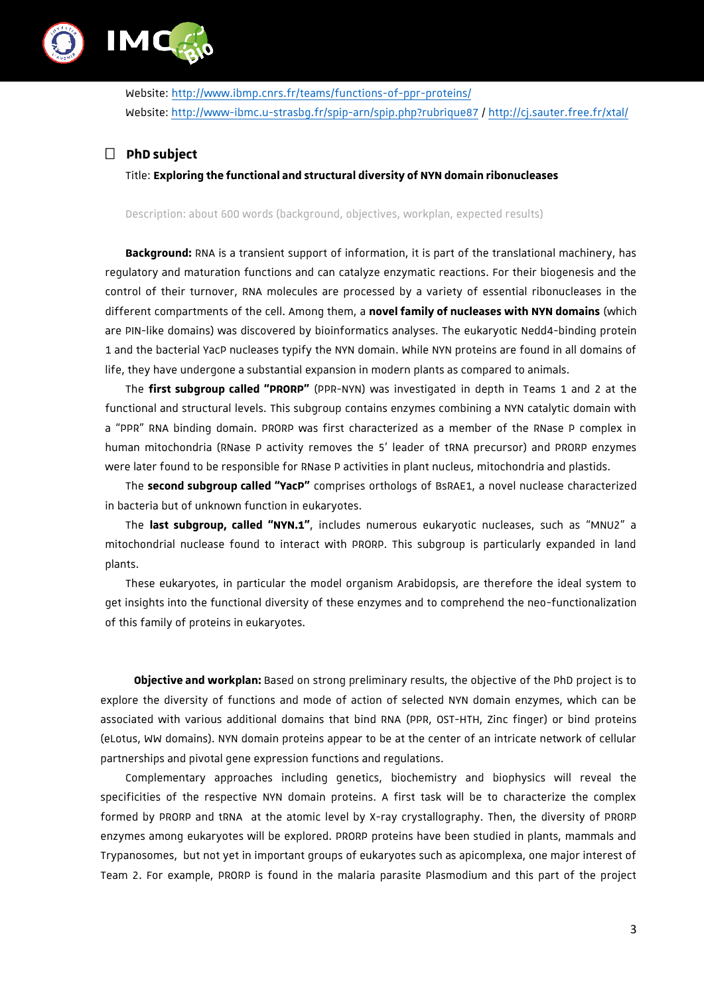

Website: <http://www.ibmp.cnrs.fr/teams/functions-of-ppr-proteins/> Website:<http://www-ibmc.u-strasbg.fr/spip-arn/spip.php?rubrique87> /<http://cj.sauter.free.fr/xtal/>

# **PhD subject**

Title: **Exploring the functional and structural diversity of NYN domain ribonucleases**

Description: about 600 words (background, objectives, workplan, expected results)

**Background:** RNA is a transient support of information, it is part of the translational machinery, has regulatory and maturation functions and can catalyze enzymatic reactions. For their biogenesis and the control of their turnover, RNA molecules are processed by a variety of essential ribonucleases in the different compartments of the cell. Among them, a **novel family of nucleases with NYN domains** (which are PIN-like domains) was discovered by bioinformatics analyses. The eukaryotic Nedd4-binding protein 1 and the bacterial YacP nucleases typify the NYN domain. While NYN proteins are found in all domains of life, they have undergone a substantial expansion in modern plants as compared to animals.

The **first subgroup called "PRORP"** (PPR-NYN) was investigated in depth in Teams 1 and 2 at the functional and structural levels. This subgroup contains enzymes combining a NYN catalytic domain with a "PPR" RNA binding domain. PRORP was first characterized as a member of the RNase P complex in human mitochondria (RNase P activity removes the 5' leader of tRNA precursor) and PRORP enzymes were later found to be responsible for RNase P activities in plant nucleus, mitochondria and plastids.

The **second subgroup called "YacP"** comprises orthologs of BsRAE1, a novel nuclease characterized in bacteria but of unknown function in eukaryotes.

The **last subgroup, called "NYN.1"**, includes numerous eukaryotic nucleases, such as "MNU2" a mitochondrial nuclease found to interact with PRORP. This subgroup is particularly expanded in land plants.

These eukaryotes, in particular the model organism Arabidopsis, are therefore the ideal system to get insights into the functional diversity of these enzymes and to comprehend the neo-functionalization of this family of proteins in eukaryotes.

**Objective and workplan:** Based on strong preliminary results, the objective of the PhD project is to explore the diversity of functions and mode of action of selected NYN domain enzymes, which can be associated with various additional domains that bind RNA (PPR, OST-HTH, Zinc finger) or bind proteins (eLotus, WW domains). NYN domain proteins appear to be at the center of an intricate network of cellular partnerships and pivotal gene expression functions and regulations.

Complementary approaches including genetics, biochemistry and biophysics will reveal the specificities of the respective NYN domain proteins. A first task will be to characterize the complex formed by PRORP and tRNA at the atomic level by X-ray crystallography. Then, the diversity of PRORP enzymes among eukaryotes will be explored. PRORP proteins have been studied in plants, mammals and Trypanosomes, but not yet in important groups of eukaryotes such as apicomplexa, one major interest of Team 2. For example, PRORP is found in the malaria parasite Plasmodium and this part of the project